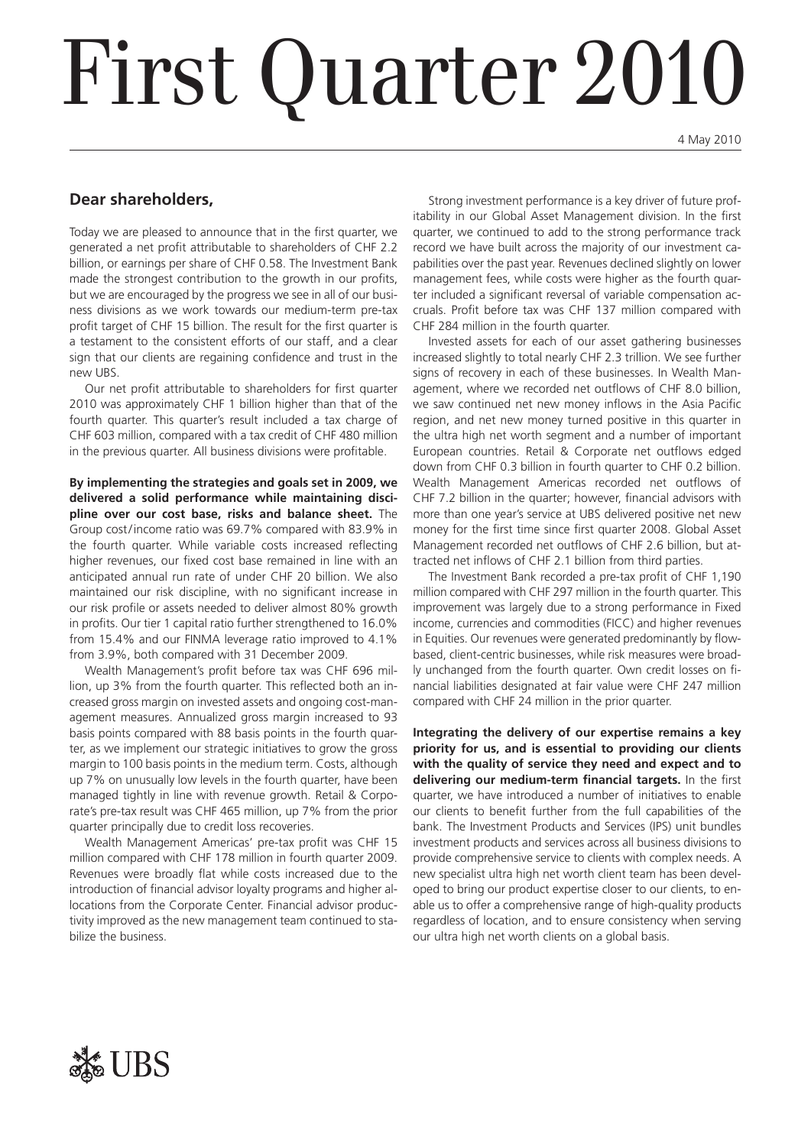# First Quarter 2010

4 May 2010

### **Dear shareholders,**

Today we are pleased to announce that in the first quarter, we generated a net profit attributable to shareholders of CHF 2.2 billion, or earnings per share of CHF 0.58. The Investment Bank made the strongest contribution to the growth in our profits, but we are encouraged by the progress we see in all of our business divisions as we work towards our medium-term pre-tax profit target of CHF 15 billion. The result for the first quarter is a testament to the consistent efforts of our staff, and a clear sign that our clients are regaining confidence and trust in the new UBS.

Our net profit attributable to shareholders for first quarter 2010 was approximately CHF 1 billion higher than that of the fourth quarter. This quarter's result included a tax charge of CHF 603 million, compared with a tax credit of CHF 480 million in the previous quarter. All business divisions were profitable.

**By implementing the strategies and goals set in 2009, we delivered a solid performance while maintaining discipline over our cost base, risks and balance sheet.** The Group cost/income ratio was 69.7% compared with 83.9% in the fourth quarter. While variable costs increased reflecting higher revenues, our fixed cost base remained in line with an anticipated annual run rate of under CHF 20 billion. We also maintained our risk discipline, with no significant increase in our risk profile or assets needed to deliver almost 80% growth in profits. Our tier 1 capital ratio further strengthened to 16.0% from 15.4% and our FINMA leverage ratio improved to 4.1% from 3.9%, both compared with 31 December 2009.

Wealth Management's profit before tax was CHF 696 million, up 3% from the fourth quarter. This reflected both an increased gross margin on invested assets and ongoing cost-management measures. Annualized gross margin increased to 93 basis points compared with 88 basis points in the fourth quarter, as we implement our strategic initiatives to grow the gross margin to 100 basis points in the medium term. Costs, although up 7% on unusually low levels in the fourth quarter, have been managed tightly in line with revenue growth. Retail & Corporate's pre-tax result was CHF 465 million, up 7% from the prior quarter principally due to credit loss recoveries.

Wealth Management Americas' pre-tax profit was CHF 15 million compared with CHF 178 million in fourth quarter 2009. Revenues were broadly flat while costs increased due to the introduction of financial advisor loyalty programs and higher allocations from the Corporate Center. Financial advisor productivity improved as the new management team continued to stabilize the business.

Strong investment performance is a key driver of future profitability in our Global Asset Management division. In the first quarter, we continued to add to the strong performance track record we have built across the majority of our investment capabilities over the past year. Revenues declined slightly on lower management fees, while costs were higher as the fourth quarter included a significant reversal of variable compensation accruals. Profit before tax was CHF 137 million compared with CHF 284 million in the fourth quarter.

Invested assets for each of our asset gathering businesses increased slightly to total nearly CHF 2.3 trillion. We see further signs of recovery in each of these businesses. In Wealth Management, where we recorded net outflows of CHF 8.0 billion, we saw continued net new money inflows in the Asia Pacific region, and net new money turned positive in this quarter in the ultra high net worth segment and a number of important European countries. Retail & Corporate net outflows edged down from CHF 0.3 billion in fourth quarter to CHF 0.2 billion. Wealth Management Americas recorded net outflows of CHF 7.2 billion in the quarter; however, financial advisors with more than one year's service at UBS delivered positive net new money for the first time since first quarter 2008. Global Asset Management recorded net outflows of CHF 2.6 billion, but attracted net inflows of CHF 2.1 billion from third parties.

The Investment Bank recorded a pre-tax profit of CHF 1,190 million compared with CHF 297 million in the fourth quarter. This improvement was largely due to a strong performance in Fixed income, currencies and commodities (FICC) and higher revenues in Equities. Our revenues were generated predominantly by flowbased, client-centric businesses, while risk measures were broadly unchanged from the fourth quarter. Own credit losses on financial liabilities designated at fair value were CHF 247 million compared with CHF 24 million in the prior quarter.

**Integrating the delivery of our expertise remains a key priority for us, and is essential to providing our clients with the quality of service they need and expect and to delivering our medium-term financial targets.** In the first quarter, we have introduced a number of initiatives to enable our clients to benefit further from the full capabilities of the bank. The Investment Products and Services (IPS) unit bundles investment products and services across all business divisions to provide comprehensive service to clients with complex needs. A new specialist ultra high net worth client team has been developed to bring our product expertise closer to our clients, to enable us to offer a comprehensive range of high-quality products regardless of location, and to ensure consistency when serving our ultra high net worth clients on a global basis.

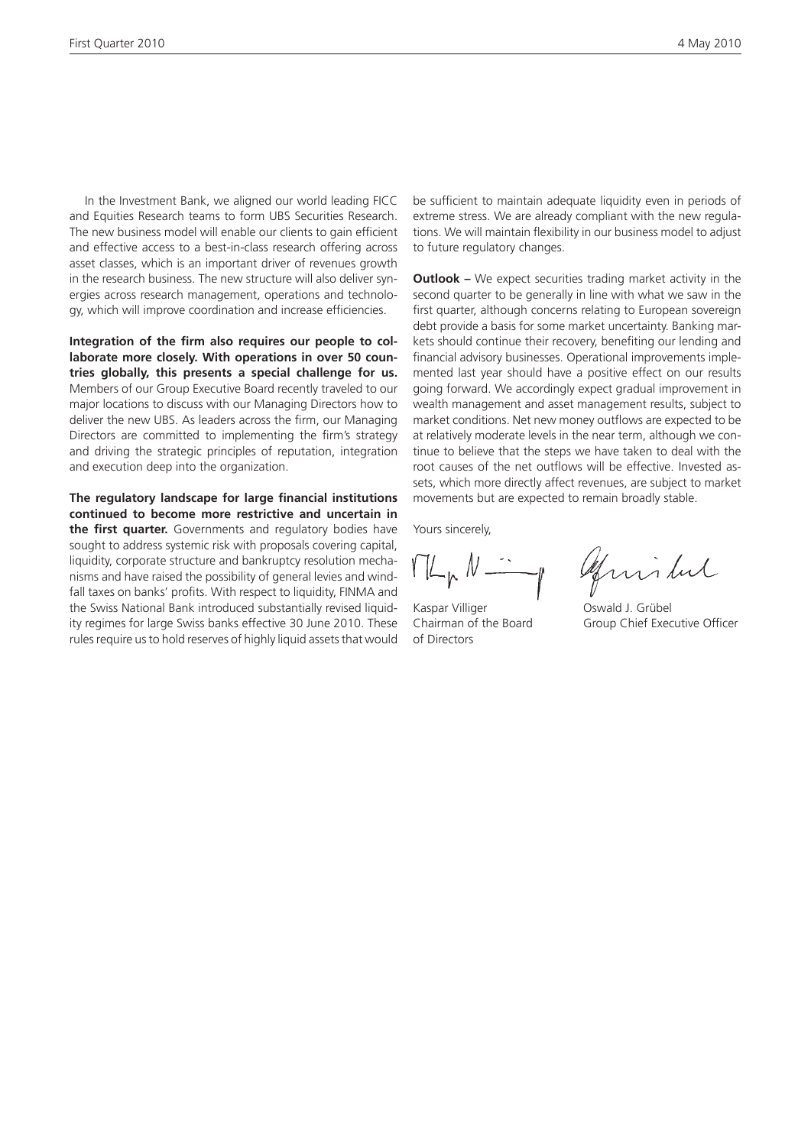In the Investment Bank, we aligned our world leading FICC and Equities Research teams to form UBS Securities Research. The new business model will enable our clients to gain efficient and effective access to a best-in-class research offering across asset classes, which is an important driver of revenues growth in the research business. The new structure will also deliver synergies across research management, operations and technology, which will improve coordination and increase efficiencies.

**Integration of the firm also requires our people to collaborate more closely. With operations in over 50 countries globally, this presents a special challenge for us.**  Members of our Group Executive Board recently traveled to our major locations to discuss with our Managing Directors how to deliver the new UBS. As leaders across the firm, our Managing Directors are committed to implementing the firm's strategy and driving the strategic principles of reputation, integration and execution deep into the organization.

**The regulatory landscape for large financial institutions continued to become more restrictive and uncertain in the first quarter.** Governments and regulatory bodies have sought to address systemic risk with proposals covering capital, liquidity, corporate structure and bankruptcy resolution mechanisms and have raised the possibility of general levies and windfall taxes on banks' profits. With respect to liquidity, FINMA and the Swiss National Bank introduced substantially revised liquidity regimes for large Swiss banks effective 30 June 2010. These rules require us to hold reserves of highly liquid assets that would

be sufficient to maintain adequate liquidity even in periods of extreme stress. We are already compliant with the new regulations. We will maintain flexibility in our business model to adjust to future regulatory changes.

**Outlook –** We expect securities trading market activity in the second quarter to be generally in line with what we saw in the first quarter, although concerns relating to European sovereign debt provide a basis for some market uncertainty. Banking markets should continue their recovery, benefiting our lending and financial advisory businesses. Operational improvements implemented last year should have a positive effect on our results going forward. We accordingly expect gradual improvement in wealth management and asset management results, subject to market conditions. Net new money outflows are expected to be at relatively moderate levels in the near term, although we continue to believe that the steps we have taken to deal with the root causes of the net outflows will be effective. Invested assets, which more directly affect revenues, are subject to market movements but are expected to remain broadly stable.

Yours sincerely,

 $ML_{p}N-$ 

Kaspar Villiger **Casaca Contact Contact Contact Contact Contact Contact Contact Contact Contact Contact Contact Contact Contact Contact Contact Contact Contact Contact Contact Contact Contact Contact Contact Contact Contac** of Directors

April dul

Chairman of the Board Group Chief Executive Officer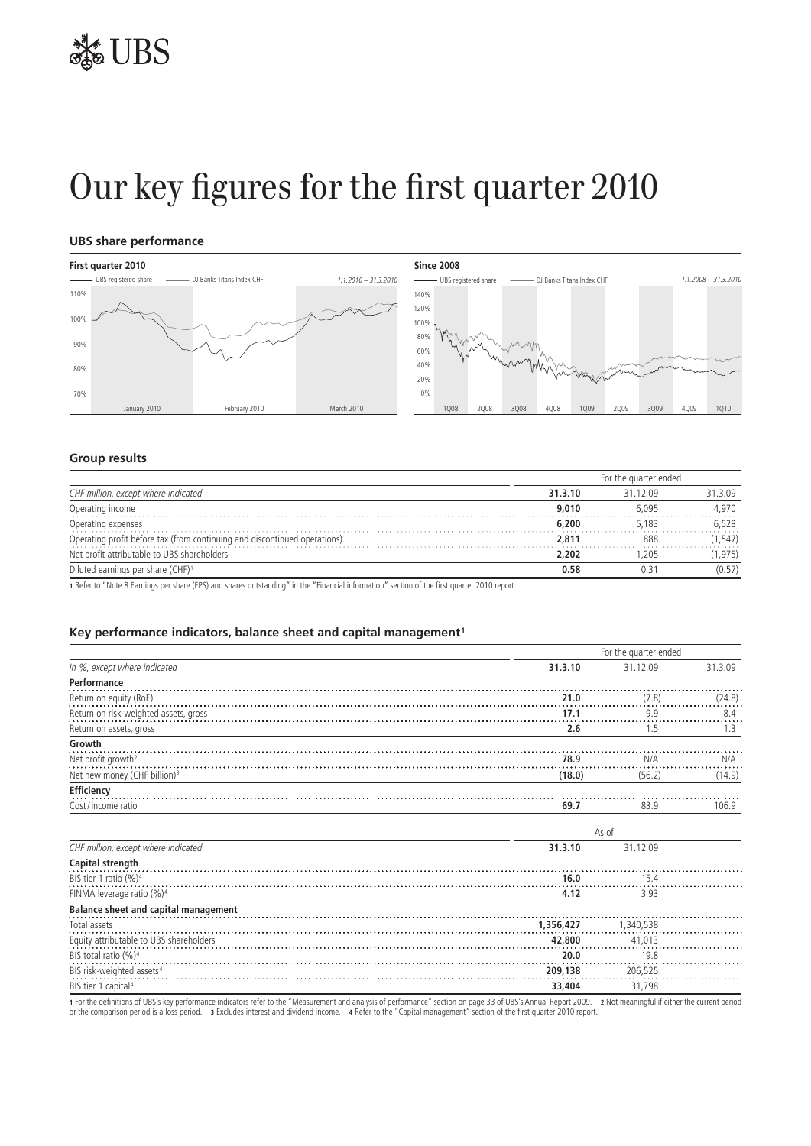## Our key figures for the first quarter 2010

#### **UBS share performance**





#### **Group results**

|                                                                           | For the quarter ended |          |        |  |
|---------------------------------------------------------------------------|-----------------------|----------|--------|--|
| CHF million, except where indicated                                       | 31.3.10               | 31 12 09 | 31309  |  |
| Operating income                                                          | 9.010                 | 6.095    | 4.970  |  |
| Operating expenses                                                        | 6.200                 | 5.183    | 6.528  |  |
| Operating profit before tax (from continuing and discontinued operations) | 2,811                 | 888      | .547)  |  |
| Net profit attributable to UBS shareholders                               | 2,202                 | .205     | 1,975) |  |
| Diluted earnings per share (CHF) <sup>1</sup>                             | 0.58                  |          | (0.57) |  |

**1** Refer to "Note 8 Earnings per share (EPS) and shares outstanding" in the "Financial information" section of the first quarter 2010 report.

#### **Key performance indicators, balance sheet and capital management 1**

|                                             |           | For the quarter ended |         |  |  |  |
|---------------------------------------------|-----------|-----------------------|---------|--|--|--|
| In %, except where indicated                | 31.3.10   | 31.12.09              | 31.3.09 |  |  |  |
| Performance                                 |           |                       |         |  |  |  |
| Return on equity (RoE)                      | 21.0      | (7.8)                 | (24.8)  |  |  |  |
| Return on risk-weighted assets, gross       | 17.1      | 99                    | 8.4     |  |  |  |
| Return on assets, gross                     | 2.6       | 1.5                   | 1.3     |  |  |  |
| Growth                                      |           |                       |         |  |  |  |
| Net profit growth <sup>2</sup>              | 78.9      | N/A                   | N/A     |  |  |  |
| Net new money (CHF billion) <sup>3</sup>    | (18.0)    | (56.2)                | (14.9)  |  |  |  |
| Efficiency                                  |           |                       |         |  |  |  |
| Cost/income ratio                           | 69.7      | 83.9                  | 106.9   |  |  |  |
|                                             |           |                       |         |  |  |  |
|                                             |           | As of                 |         |  |  |  |
| CHF million, except where indicated         | 31.3.10   | 31.12.09              |         |  |  |  |
| Capital strength                            |           |                       |         |  |  |  |
| BIS tier 1 ratio (%) <sup>4</sup>           | 16.0      | 15.4                  |         |  |  |  |
| FINMA leverage ratio (%) <sup>4</sup>       | 4.12      | 3.93                  |         |  |  |  |
| <b>Balance sheet and capital management</b> |           |                       |         |  |  |  |
| Total assets                                | 1,356,427 | 1,340,538             |         |  |  |  |
| Equity attributable to UBS shareholders     | 42,800    | 41.013                |         |  |  |  |
| BIS total ratio (%) <sup>4</sup>            | 20.0      | 19.8                  |         |  |  |  |
| BIS risk-weighted assets <sup>4</sup>       | 209,138   | 206,525               |         |  |  |  |
| BIS tier 1 capital <sup>4</sup>             | 33,404    | 31.798                |         |  |  |  |

1 For the definitions of UBS's key performance indicators refer to the "Measurement and analysis of performance" section on page 33 of UBS's Annual Report 2009. 2 Not meaningful if either the current period<br>or the comparis